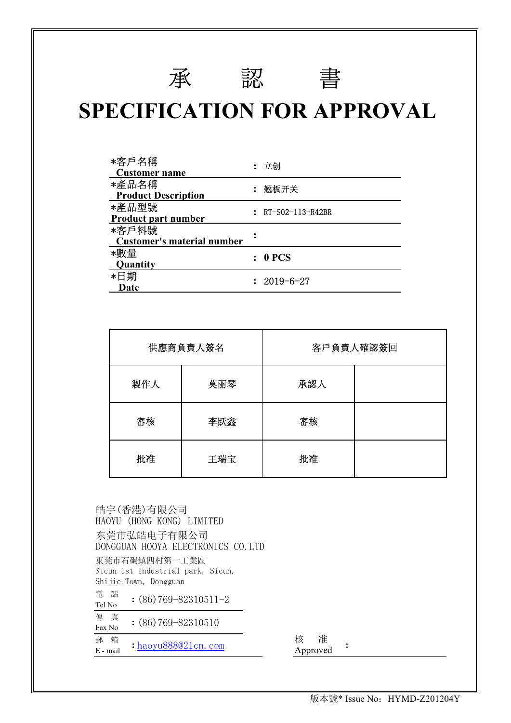# **SPECIFICATION FOR APPROVAL**

承認書

| *客戶名稱<br><b>Customer name</b>       | 立创               |
|-------------------------------------|------------------|
| *產品名稱<br><b>Product Description</b> | : 翘板开关           |
| *產品型號<br><b>Product part number</b> | RT-S02-113-R42BR |
| *客戶料號<br>Customer's material number |                  |
| *數量<br><b>Quantity</b>              | 0 PCS            |
| *日期<br>Date                         | 2019-6-27        |

|     | 供應商負責人簽名 |     | 客戶負責人確認簽回 |
|-----|----------|-----|-----------|
| 製作人 | 莫丽琴      | 承認人 |           |
| 審核  | 李跃鑫      | 審核  |           |
| 批准  | 王瑞宝      | 批准  |           |

| 郵<br>箱<br>$:$ haoyu888021cn.com<br>$E$ - mail              | 准<br>核<br>Approved |  |
|------------------------------------------------------------|--------------------|--|
| 傳 真<br>$(86)769 - 82310510$<br>Fax No                      |                    |  |
| 電 話<br>$:(86)769 - 82310511 - 2$<br>Tel No                 |                    |  |
| Sicun 1st Industrial park, Sicun,<br>Shijie Town, Dongguan |                    |  |
| 東莞市石碣鎮四村第一工業區                                              |                    |  |
| 东莞市弘皓电子有限公司<br>DONGGUAN HOOYA ELECTRONICS CO. LTD          |                    |  |
| 皓宇(香港)有限公司<br>HAOYU (HONG KONG) LIMITED                    |                    |  |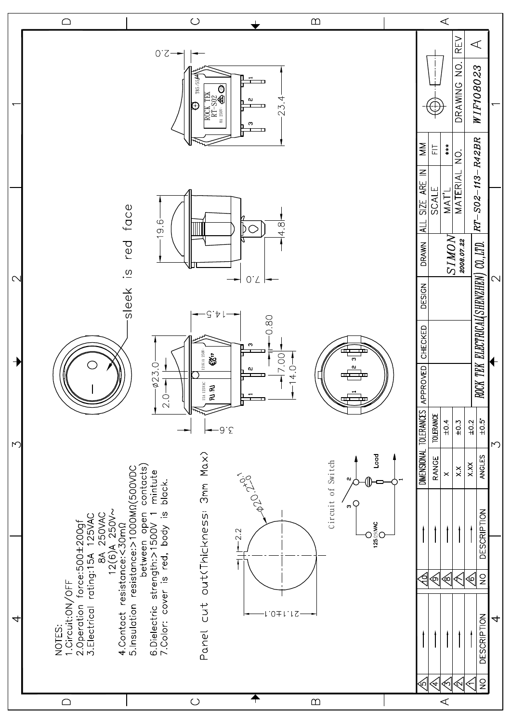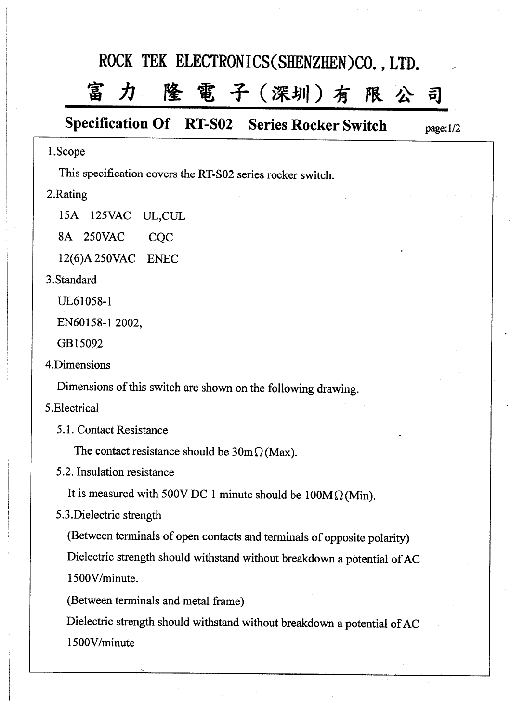## ROCK TEK ELECTRONICS(SHENZHEN)CO., LTD.

#### 隆電子(深圳)有限公 富力  $\mathbf{a}$

## **Specification Of RT-S02 Series Rocker Switch**

 $page:1/2$ 

## 1.Scope

This specification covers the RT-S02 series rocker switch.

## 2.Rating

15A 125VAC UL,CUL

8A 250VAC CQC

12(6)A 250VAC ENEC

## 3.Standard

UL61058-1

EN60158-1 2002.

GB15092

4.Dimensions

Dimensions of this switch are shown on the following drawing.

## 5.Electrical

5.1. Contact Resistance

The contact resistance should be  $30 \text{m} \Omega$  (Max).

5.2. Insulation resistance

It is measured with 500V DC 1 minute should be  $100M\Omega$  (Min).

5.3. Dielectric strength

(Between terminals of open contacts and terminals of opposite polarity) Dielectric strength should withstand without breakdown a potential of AC 1500V/minute.

(Between terminals and metal frame)

Dielectric strength should withstand without breakdown a potential of AC 1500V/minute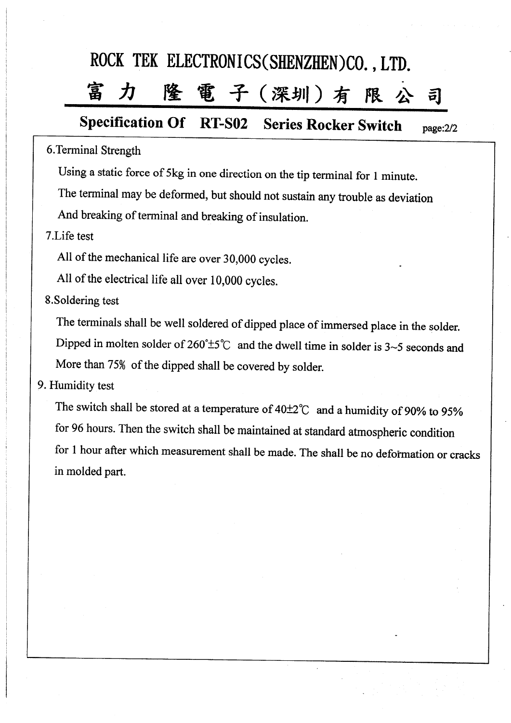# ROCK TEK ELECTRONICS(SHENZHEN)CO., LTD.

#### 降 電子(深圳)有限 冨  $\bm{\mathcal{H}}$ 희

#### **Specification Of RT-S02 Series Rocker Switch** page:2/2

## 6. Terminal Strength

Using a static force of 5kg in one direction on the tip terminal for 1 minute.

The terminal may be deformed, but should not sustain any trouble as deviation

And breaking of terminal and breaking of insulation.

7.Life test

All of the mechanical life are over 30,000 cycles.

All of the electrical life all over 10,000 cycles.

## 8. Soldering test

The terminals shall be well soldered of dipped place of immersed place in the solder. Dipped in molten solder of  $260^{\circ} \pm 5^{\circ}$  and the dwell time in solder is 3~5 seconds and More than 75% of the dipped shall be covered by solder.

## 9. Humidity test

The switch shall be stored at a temperature of  $40\pm2\degree$ C and a humidity of 90% to 95% for 96 hours. Then the switch shall be maintained at standard atmospheric condition for 1 hour after which measurement shall be made. The shall be no deformation or cracks in molded part.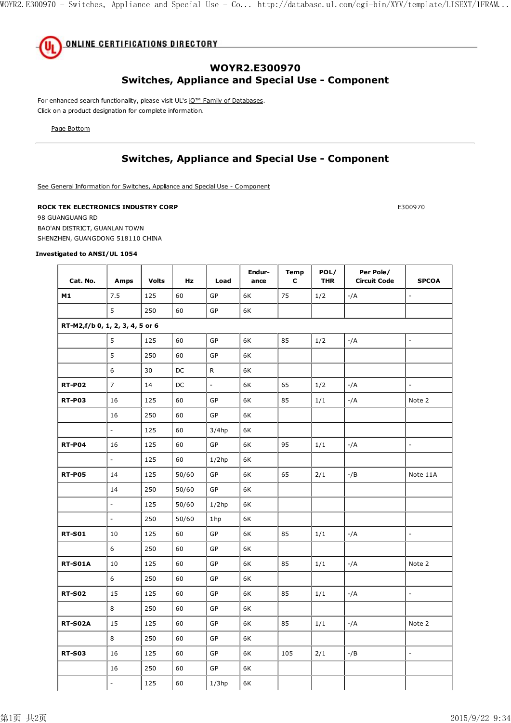

## **WOYR2.E300970 Switches, Appliance and Special Use - Component**

For enhanced search functionality, please visit UL's iQ<sup>™</sup> Family of Databases. Click on a product designation for complete information.

Page Bottom

## **Switches, Appliance and Special Use - Component**

See General Information for Switches, Appliance and Special Use - Component

#### **ROCK TEK ELECTRONICS INDUSTRY CORP E300970**

98 GUANGUANG RD BAO'AN DISTRICT, GUANLAN TOWN SHENZHEN, GUANGDONG 518110 CHINA

#### **Investigated to ANSI/UL 1054**

| Cat. No.       | Amps                            | <b>Volts</b> | Hz    | Load                     | Endur-<br>ance | <b>Temp</b><br>C | POL/<br><b>THR</b> | Per Pole/<br><b>Circuit Code</b> | <b>SPCOA</b>             |
|----------------|---------------------------------|--------------|-------|--------------------------|----------------|------------------|--------------------|----------------------------------|--------------------------|
| M1             | 7.5                             | 125          | 60    | GP                       | 6K             | 75               | 1/2                | $-/A$                            | ÷,                       |
|                | 5                               | 250          | 60    | GP                       | 6K             |                  |                    |                                  |                          |
|                | RT-M2,f/b 0, 1, 2, 3, 4, 5 or 6 |              |       |                          |                |                  |                    |                                  |                          |
|                | 5                               | 125          | 60    | GP                       | 6K             | 85               | 1/2                | -/A                              | $\blacksquare$           |
|                | 5                               | 250          | 60    | GP                       | 6K             |                  |                    |                                  |                          |
|                | 6                               | 30           | DC    | R                        | 6K             |                  |                    |                                  |                          |
| <b>RT-P02</b>  | $\overline{7}$                  | 14           | DC    | $\overline{\phantom{a}}$ | 6K             | 65               | 1/2                | $-/A$                            |                          |
| <b>RT-P03</b>  | 16                              | 125          | 60    | GP                       | 6K             | 85               | 1/1                | $-/A$                            | Note 2                   |
|                | 16                              | 250          | 60    | <b>GP</b>                | 6K             |                  |                    |                                  |                          |
|                | $\overline{\phantom{a}}$        | 125          | 60    | $3/4$ hp                 | 6K             |                  |                    |                                  |                          |
| <b>RT-P04</b>  | 16                              | 125          | 60    | GP                       | 6K             | 95               | 1/1                | $-/A$                            | $\blacksquare$           |
|                | ÷.                              | 125          | 60    | $1/2$ hp                 | 6K             |                  |                    |                                  |                          |
| <b>RT-P05</b>  | 14                              | 125          | 50/60 | GP                       | 6K             | 65               | $2/1$              | $-$ /B                           | Note 11A                 |
|                | 14                              | 250          | 50/60 | GP                       | 6K             |                  |                    |                                  |                          |
|                | $\overline{\phantom{a}}$        | 125          | 50/60 | $1/2$ hp                 | 6K             |                  |                    |                                  |                          |
|                | ÷.                              | 250          | 50/60 | 1hp                      | 6K             |                  |                    |                                  |                          |
| <b>RT-S01</b>  | 10                              | 125          | 60    | GP                       | 6K             | 85               | 1/1                | $-/A$                            | $\overline{a}$           |
|                | 6                               | 250          | 60    | GP                       | 6K             |                  |                    |                                  |                          |
| <b>RT-S01A</b> | 10                              | 125          | 60    | GP                       | 6K             | 85               | 1/1                | -/A                              | Note 2                   |
|                | 6                               | 250          | 60    | GP                       | 6K             |                  |                    |                                  |                          |
| <b>RT-S02</b>  | 15                              | 125          | 60    | GP                       | 6K             | 85               | 1/1                | $-/A$                            | $\Box$                   |
|                | 8                               | 250          | 60    | GP                       | 6K             |                  |                    |                                  |                          |
| <b>RT-S02A</b> | 15                              | 125          | 60    | GP                       | 6K             | 85               | 1/1                | $-/A$                            | Note 2                   |
|                | 8                               | 250          | 60    | GP                       | 6K             |                  |                    |                                  |                          |
| <b>RT-S03</b>  | 16                              | 125          | 60    | GP                       | 6K             | 105              | 2/1                | $-$ /B                           | $\overline{\phantom{a}}$ |
|                | 16                              | 250          | 60    | GP                       | 6K             |                  |                    |                                  |                          |
|                | $\overline{a}$                  | 125          | 60    | $1/3$ hp                 | 6K             |                  |                    |                                  |                          |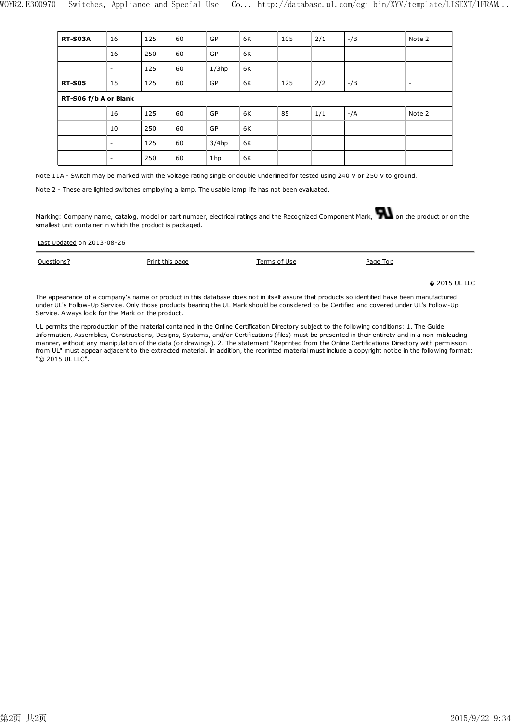| <b>RT-S03A</b> | 16                       | 125 | 60 | GP       | 6K | 105 | 2/1 | $-$ /B | Note 2                   |
|----------------|--------------------------|-----|----|----------|----|-----|-----|--------|--------------------------|
|                | 16                       | 250 | 60 | GP       | 6K |     |     |        |                          |
|                | $\overline{\phantom{a}}$ | 125 | 60 | $1/3$ hp | 6K |     |     |        |                          |
| <b>RT-S05</b>  | 15                       | 125 | 60 | GP       | 6K | 125 | 2/2 | $-$ /B | $\overline{\phantom{a}}$ |
|                | RT-S06 f/b A or Blank    |     |    |          |    |     |     |        |                          |
|                | 16                       | 125 | 60 | GP       | 6K | 85  | 1/1 | $-/A$  | Note 2                   |
|                | 10                       | 250 | 60 | GP       | 6K |     |     |        |                          |
|                | ۰                        | 125 | 60 | $3/4$ hp | 6K |     |     |        |                          |
|                | -                        | 250 | 60 | 1hp      | 6K |     |     |        |                          |

Note 11A - Switch may be marked with the voltage rating single or double underlined for tested using 240 V or 250 V to ground.

Note 2 - These are lighted switches employing a lamp. The usable lamp life has not been evaluated.

Marking: Company name, catalog, model or part number, electrical ratings and the Recognized Component Mark, on the product or on the smallest unit container in which the product is packaged.

Last Updated on 2013-08-26

**Questions?** Print this page Terms of Use Page Top  $\triangle$  2015 UL LLC

The appearance of a company's name or product in this database does not in itself assure that products so identified have been manufactured under UL's Follow-Up Service. Only those products bearing the UL Mark should be considered to be Certified and covered under UL's Follow-Up Service. Always look for the Mark on the product.

UL permits the reproduction of the material contained in the Online Certification Directory subject to the following conditions: 1. The Guide Information, Assemblies, Constructions, Designs, Systems, and/or Certifications (files) must be presented in their entirety and in a non-misleading manner, without any manipulation of the data (or drawings). 2. The statement "Reprinted from the Online Certifications Directory with permission from UL" must appear adjacent to the extracted material. In addition, the reprinted material must include a copyright notice in the following format: "© 2015 UL LLC".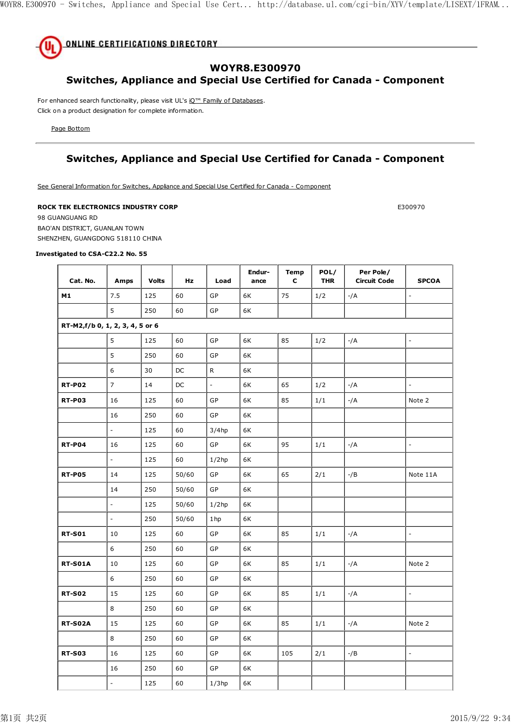

## **WOYR8.E300970**

## **Switches, Appliance and Special Use Certified for Canada - Component**

For enhanced search functionality, please visit UL's iQ<sup>™</sup> Family of Databases. Click on a product designation for complete information.

Page Bottom

## **Switches, Appliance and Special Use Certified for Canada - Component**

See General Information for Switches, Appliance and Special Use Certified for Canada - Component

#### **ROCK TEK ELECTRONICS INDUSTRY CORP E300970**

98 GUANGUANG RD BAO'AN DISTRICT, GUANLAN TOWN SHENZHEN, GUANGDONG 518110 CHINA

#### **Investigated to CSA-C22.2 No. 55**

| Cat. No.                        | Amps                     | <b>Volts</b> | <b>Hz</b> | Load           | Endur-<br>ance | <b>Temp</b><br>c | POL/<br><b>THR</b> | Per Pole/<br><b>Circuit Code</b> | <b>SPCOA</b>             |
|---------------------------------|--------------------------|--------------|-----------|----------------|----------------|------------------|--------------------|----------------------------------|--------------------------|
| M1                              | 7.5                      | 125          | 60        | GP             | 6K             | 75               | 1/2                | -/A                              | $\overline{\phantom{a}}$ |
|                                 | 5                        | 250          | 60        | GP             | 6K             |                  |                    |                                  |                          |
| RT-M2,f/b 0, 1, 2, 3, 4, 5 or 6 |                          |              |           |                |                |                  |                    |                                  |                          |
|                                 | 5                        | 125          | 60        | GP             | 6K             | 85               | 1/2                | $-/A$                            | $\Box$                   |
|                                 | 5                        | 250          | 60        | GP             | 6K             |                  |                    |                                  |                          |
|                                 | 6                        | 30           | DC        | R              | 6K             |                  |                    |                                  |                          |
| <b>RT-P02</b>                   | $\overline{7}$           | 14           | DC        | $\overline{a}$ | 6K             | 65               | 1/2                | $-/A$                            | $\overline{a}$           |
| <b>RT-P03</b>                   | 16                       | 125          | 60        | GP             | 6K             | 85               | 1/1                | -/A                              | Note 2                   |
|                                 | 16                       | 250          | 60        | GP             | 6K             |                  |                    |                                  |                          |
|                                 | $\overline{\phantom{a}}$ | 125          | 60        | $3/4$ hp       | 6K             |                  |                    |                                  |                          |
| <b>RT-P04</b>                   | 16                       | 125          | 60        | GP             | 6K             | 95               | 1/1                | -/A                              | $\overline{\phantom{a}}$ |
|                                 | $\overline{\phantom{a}}$ | 125          | 60        | $1/2$ hp       | 6K             |                  |                    |                                  |                          |
| <b>RT-P05</b>                   | 14                       | 125          | 50/60     | GP             | 6K             | 65               | 2/1                | $-$ /B                           | Note 11A                 |
|                                 | 14                       | 250          | 50/60     | GP             | 6K             |                  |                    |                                  |                          |
|                                 | $\overline{\phantom{a}}$ | 125          | 50/60     | $1/2$ hp       | 6K             |                  |                    |                                  |                          |
|                                 | $\overline{\phantom{a}}$ | 250          | 50/60     | 1hp            | 6K             |                  |                    |                                  |                          |
| <b>RT-S01</b>                   | 10                       | 125          | 60        | GP             | 6K             | 85               | 1/1                | $-/A$                            | $\overline{a}$           |
|                                 | 6                        | 250          | 60        | GP             | 6K             |                  |                    |                                  |                          |
| <b>RT-S01A</b>                  | 10                       | 125          | 60        | GP             | 6K             | 85               | 1/1                | -/A                              | Note 2                   |
|                                 | 6                        | 250          | 60        | GP             | 6K             |                  |                    |                                  |                          |
| <b>RT-S02</b>                   | 15                       | 125          | 60        | GP             | 6K             | 85               | 1/1                | $-/A$                            | $\overline{a}$           |
|                                 | 8                        | 250          | 60        | GP             | 6K             |                  |                    |                                  |                          |
| <b>RT-S02A</b>                  | 15                       | 125          | 60        | GP             | 6K             | 85               | 1/1                | $-/A$                            | Note 2                   |
|                                 | 8                        | 250          | 60        | GP             | 6K             |                  |                    |                                  |                          |
| <b>RT-S03</b>                   | 16                       | 125          | 60        | GP             | 6K             | 105              | 2/1                | $-$ /B                           | $\overline{a}$           |
|                                 | 16                       | 250          | 60        | GP             | 6K             |                  |                    |                                  |                          |
|                                 | $\overline{a}$           | 125          | 60        | $1/3$ hp       | 6K             |                  |                    |                                  |                          |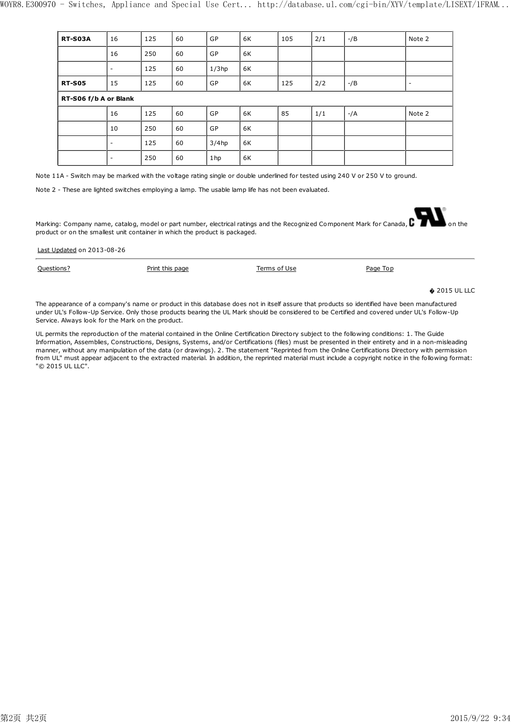| <b>RT-S03A</b> | 16                    | 125 | 60 | GP       | 6K | 105 | 2/1 | $-$ /B | Note 2                   |
|----------------|-----------------------|-----|----|----------|----|-----|-----|--------|--------------------------|
|                | 16                    | 250 | 60 | GP       | 6K |     |     |        |                          |
|                | ۰                     | 125 | 60 | $1/3$ hp | 6K |     |     |        |                          |
| <b>RT-S05</b>  | 15                    | 125 | 60 | GP       | 6K | 125 | 2/2 | -/B    | $\overline{\phantom{a}}$ |
|                | RT-S06 f/b A or Blank |     |    |          |    |     |     |        |                          |
|                | 16                    | 125 | 60 | GP       | 6K | 85  | 1/1 | $-/A$  | Note 2                   |
|                | 10                    | 250 | 60 | GP       | 6K |     |     |        |                          |
|                | -                     | 125 | 60 | $3/4$ hp | 6K |     |     |        |                          |
|                | ٠                     | 250 | 60 | 1hp      | 6K |     |     |        |                          |

Note 11A - Switch may be marked with the voltage rating single or double underlined for tested using 240 V or 250 V to ground.

Note 2 - These are lighted switches employing a lamp. The usable lamp life has not been evaluated.

Last Updated on 2013-08-26

Marking: Company name, catalog, model or part number, electrical ratings and the Recognized Component Mark for Canada,  $\mathbf C$ product or on the smallest unit container in which the product is packaged.

| the contract of the contract of the contract of the contract of the contract of |                 |              |          |                       |
|---------------------------------------------------------------------------------|-----------------|--------------|----------|-----------------------|
| Questions?                                                                      | Print this page | Terms of Use | Page Top |                       |
|                                                                                 |                 |              |          | $\bullet$ 2015 UL LLC |

The appearance of a company's name or product in this database does not in itself assure that products so identified have been manufactured under UL's Follow-Up Service. Only those products bearing the UL Mark should be considered to be Certified and covered under UL's Follow-Up Service. Always look for the Mark on the product.

UL permits the reproduction of the material contained in the Online Certification Directory subject to the following conditions: 1. The Guide Information, Assemblies, Constructions, Designs, Systems, and/or Certifications (files) must be presented in their entirety and in a non-misleading manner, without any manipulation of the data (or drawings). 2. The statement "Reprinted from the Online Certifications Directory with permission from UL" must appear adjacent to the extracted material. In addition, the reprinted material must include a copyright notice in the following format: "© 2015 UL LLC".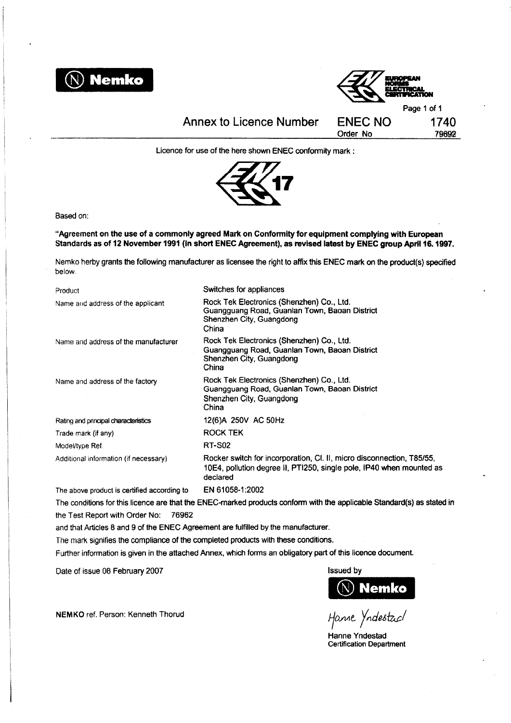



**Annex to Licence Number** 

Licence for use of the here shown ENEC conformity mark:



Based on:

"Agreement on the use of a commonly agreed Mark on Conformity for equipment complying with European Standards as of 12 November 1991 (in short ENEC Agreement), as revised latest by ENEC group April 16. 1997.

Nemko herby grants the following manufacturer as licensee the right to affix this ENEC mark on the product(s) specified below.

| Product                               | Switches for appliances                                                                                                                                   |
|---------------------------------------|-----------------------------------------------------------------------------------------------------------------------------------------------------------|
| Name and address of the applicant     | Rock Tek Electronics (Shenzhen) Co., Ltd.<br>Guangguang Road, Guanlan Town, Baoan District<br>Shenzhen City, Guangdong<br>China                           |
| Name and address of the manufacturer  | Rock Tek Electronics (Shenzhen) Co., Ltd.<br>Guangguang Road, Guanlan Town, Baoan District<br>Shenzhen City, Guangdong<br>China                           |
| Name and address of the factory       | Rock Tek Electronics (Shenzhen) Co., Ltd.<br>Guangguang Road, Guanlan Town, Baoan District<br>Shenzhen City, Guangdong<br>China                           |
| Rating and principal characteristics  | 12(6)A 250V AC 50Hz                                                                                                                                       |
| Trade mark (if any)                   | <b>ROCK TEK</b>                                                                                                                                           |
| Model/type Ref.                       | <b>RT-S02</b>                                                                                                                                             |
| Additional information (if necessary) | Rocker switch for incorporation, CI. II, micro disconnection, T85/55,<br>10E4, pollution degree II, PTI250, single pole, IP40 when mounted as<br>declared |
|                                       |                                                                                                                                                           |

The above product is certified according to EN 61058-1:2002

The conditions for this licence are that the ENEC-marked products conform with the applicable Standard(s) as stated in the Test Report with Order No: 76962

and that Articles 8 and 9 of the ENEC Agreement are fulfilled by the manufacturer.

The mark signifies the compliance of the completed products with these conditions.

Further information is given in the attached Annex, which forms an obligatory part of this licence document.

Date of issue 08 February 2007

NEMKO ref. Person: Kenneth Thorud

**Issued by**  $\mathbb N)$  Nemko

Hanne Yndestacl

Hanne Yndestad **Certification Department**